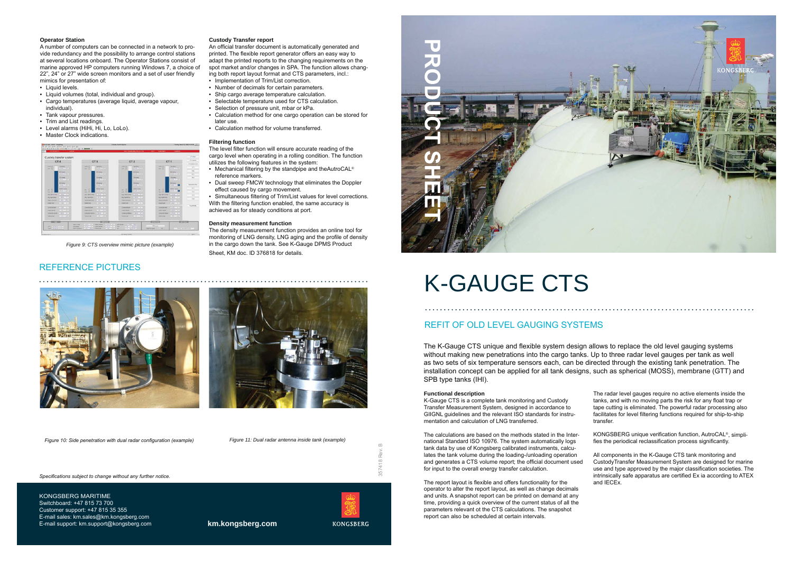#### **Operator Station**

A number of computers can be connected in a network to provide redundancy and the possibility to arrange control stations at several locations onboard. The Operator Stations consist of marine approved HP computers running Windows 7, a choice of 22", 24" or 27" wide screen monitors and a set of user friendly mimics for presentation of:

- Liquid levels.
- Liquid volumes (total, individual and group).
- Cargo temperatures (average liquid, average vapour, individual).
- Tank vapour pressures.
- Trim and List readings.
- Level alarms (HiHi, Hi, Lo, LoLo).

## • Master Clock indications.

| CT <sub>4</sub>                                                            |                           | CT <sub>3</sub>                        |                     | CT <sub>2</sub>                                       |                               | CT <sub>1</sub>                         |                                            |
|----------------------------------------------------------------------------|---------------------------|----------------------------------------|---------------------|-------------------------------------------------------|-------------------------------|-----------------------------------------|--------------------------------------------|
|                                                                            |                           |                                        |                     |                                                       |                               |                                         | <b>CTEAment Level</b>                      |
| <b>HHH</b> O<br>Tup temp.<br><b>MENTINE</b><br><b>UH O</b>                 | <b>VEHICI</b><br>MAIL CO. | Top by ta.<br>2010/05/13 1             | Limit (C)<br>Like O | Top terrar.<br><b>SAN 5-111</b>                       | <b>LAWI</b> CH<br><b>MAIO</b> | Testens.<br>$1914 - 2371$               | (11)                                       |
| <b>BIN length</b><br><b>PERMIT RD</b>                                      |                           | <b>Williams</b><br>$1 - 1 - 1 + 1 + 1$ |                     | <b>KITL WIN</b><br><b>HELLIE</b>                      |                               | <b>BTG lang-</b><br>$-16 - 19$          | 612<br>CT3                                 |
| 724 area<br><b>WEIGHT</b>                                                  |                           | <b>TILL SUPP</b><br>$-112 - 114$       |                     | <b>ZIS SING</b><br>$-114.521$                         |                               | <b>TOTA MAYOR</b><br>$-144 - 144$       | ct i                                       |
| <b>STATISTICS</b><br><b>BERKER</b>                                         |                           | <b>Afficients</b><br><b>DIRECTOR</b>   |                     | 125 large<br><b>ELECTRIC</b>                          |                               | <b>SIPA lastig</b><br>$-1$              | And and the South Pro-<br>Dokaleksian Main |
| <b>Bustan lenter</b><br>UK O<br><b>HILL LAL</b><br><b>CALL</b>             | $\infty$<br><b>GALL</b>   | <b>Senari tena</b><br>$-114 - 114$     | 44:0<br><b>SAGE</b> | <b>Bullard Arms</b><br><b><i><u>CONTRACTO</u></i></b> | $\sigma$<br><b>IAL</b><br>w   | <b>Rittari lerre</b><br><b>ALC: YES</b> | CT1<br>01                                  |
| <b>THE ATT</b><br>Art lidest long.                                         | Arg liserar tens.         | $TMR = 5$                              | Aug. uspear serre   | <b>FALL 5.1</b>                                       | Aid important                 | $-444$ $-5$                             | ET <sub>3</sub>                            |
| TIME THE<br><b>Aug light tony</b>                                          | Ang' least leng           | <b>THEFT WITH</b>                      | Ang itselfered      | <b>THE REAL PROPERTY</b>                              | Aug. Issuell lervier.         | <b>SERTING</b>                          | ITA.                                       |
| <b>THE MAX</b><br>Transit president                                        | <b>Vanish president</b>   | $-914 - 44$                            | Visions présendé    | THE SPACE                                             | <b>Value precises</b>         | HA MAL                                  |                                            |
| $118 - 1$<br><b>INVESTIGATE</b>                                            | <b>In death board</b>     | 1.1199 - H                             | <b>Inches level</b> | $-1130 - 8$                                           | <b><i>INSTRUCTS</i></b>       | LN 97 91                                |                                            |
| <b>THEFT R</b><br>Genetiat www.                                            | Constitutional            | E. 1236 1116                           | Coleman Mode        | 1113033341                                            | <b>Savetnetheed</b>           | TRUE = #1                               | <b>Transition</b>                          |
| <b>THE R</b><br><b>Ligal visite</b>                                        | Lideral schulture         | <b>CONTRACTOR</b>                      | 1 Annal Arkanse     | <b>THE R</b>                                          | <b>LIGHT MAKES</b>            | Difficult of                            |                                            |
| <b>TRIFFICA</b><br><b>Conscious solution</b>                               | Canschel source           | <b>A. 1991 8 7 105</b>                 | Chimatian educate   | <b>THILL M</b>                                        | Canadas valore                | Thomas Car                              |                                            |
| 1.11 1991<br><b>Industrie state</b>                                        | Vehicles cars:            | $-11 - 15$                             | <b>Viduros caso</b> | T. 11. 1. MA                                          | <b>Volume 1844</b>            | <b>CALCON</b>                           |                                            |
| <b>CONTRACTOR</b><br><b>KGELWON</b><br><b>BUILDING</b><br><b>CEAST May</b> |                           |                                        |                     |                                                       |                               |                                         | <b>BEREICHS</b>                            |

Figure 9: CTS overview mimic picture (example)

### **REFERENCE PICTURES**

#### **Custody Transfer report**

An official transfer document is automatically generated and printed. The flexible report generator offers an easy way to adapt the printed reports to the changing requirements on the spot market and/or changes in SPA. The function allows changing both report layout format and CTS parameters, incl.: . Implementation of Trim/List correction.

- 
- Number of decimals for certain parameters. • Ship cargo average temperature calculation.
- Selectable temperature used for CTS calculation.
- Selection of pressure unit, mbar or kPa.
- Calculation method for one cargo operation can be stored for
- later use.
- Calculation method for volume transferred.

#### **Filtering function**

The level filter function will ensure accurate reading of the cargo level when operating in a rolling condition. The function utilizes the following features in the system:

- Mechanical filtering by the standpipe and theAutroCAL® reference markers.
- Dual sweep FMCW technology that eliminates the Doppler effect caused by cargo movement.

• Simultaneous filtering of Trim/List values for level corrections. With the filtering function enabled, the same accuracy is achieved as for steady conditions at port.

#### **Density measurement function**

The density measurement function provides an online tool for monitoring of LNG density, LNG aging and the profile of density in the cargo down the tank. See K-Gauge DPMS Product Sheet. KM doc. ID 376818 for details.



Figure 10: Side penetration with dual radar configuration (example)

Figure 11: Dual radar antenna inside tank (example)

Specifications subject to change without any further notice.

KONGSBERG MARITIME Switchboard: +47 815 73 700 Customer support: +47 815 35 355 E-mail sales: km.sales@km.kongsberg.com E-mail support: km.support@kongsberg.com



# **K-GAUGE CTS**

# REFIT OF OLD LEVEL GAUGING SYSTEMS

The K-Gauge CTS unique and flexible system design allows to replace the old level gauging systems without making new penetrations into the cargo tanks. Up to three radar level gauges per tank as well as two sets of six temperature sensors each, can be directed through the existing tank penetration. The installation concept can be applied for all tank designs, such as spherical (MOSS), membrane (GTT) and SPB type tanks (IHI).

#### **Functional description**

K-Gauge CTS is a complete tank monitoring and Custody Transfer Measurement System, designed in accordance to GIIGNL quidelines and the relevant ISO standards for instrumentation and calculation of LNG transferred.

The calculations are based on the methods stated in the International Standard ISO 10976. The system automatically logs tank data by use of Kongsberg calibrated instruments, calculates the tank volume during the loading-/unloading operation and generates a CTS volume report; the official document used for input to the overall energy transfer calculation.

The report layout is flexible and offers functionality for the operator to alter the report layout, as well as change decimals and units. A snapshot report can be printed on demand at any time, providing a quick overview of the current status of all the parameters relevant of the CTS calculations. The snapshot report can also be scheduled at certain intervals.

km.kongsberg.com





The radar level gauges require no active elements inside the tanks, and with no moving parts the risk for any float trap or tape cutting is eliminated. The powerful radar processing also facilitates for level filtering functions required for ship-to-ship transfer.

KONGSBERG unique verification function, AutroCAL®, simplifies the periodical reclassification process significantly.

All components in the K-Gauge CTS tank monitoring and CustodyTransfer Measurement System are designed for marine use and type approved by the major classification societies. The intrinsically safe apparatus are certified Ex ia according to ATEX and IECEx.